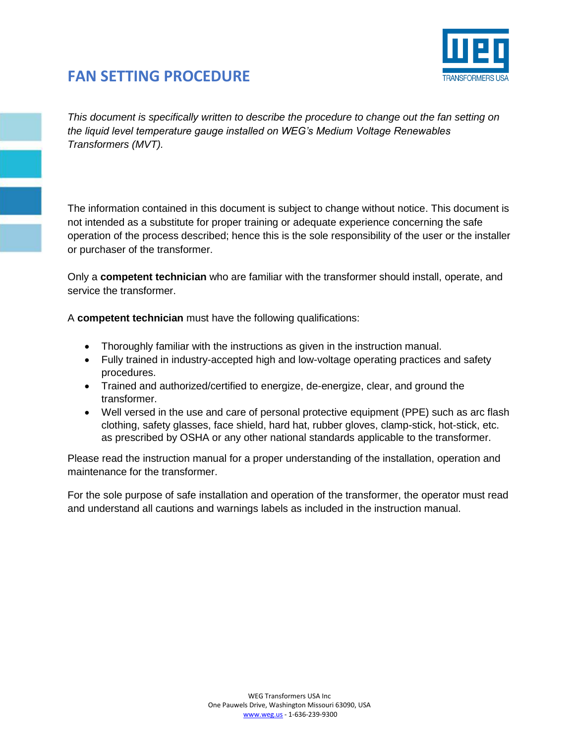

*This document is specifically written to describe the procedure to change out the fan setting on the liquid level temperature gauge installed on WEG's Medium Voltage Renewables Transformers (MVT).* 

The information contained in this document is subject to change without notice. This document is not intended as a substitute for proper training or adequate experience concerning the safe operation of the process described; hence this is the sole responsibility of the user or the installer or purchaser of the transformer.

Only a **competent technician** who are familiar with the transformer should install, operate, and service the transformer.

A **competent technician** must have the following qualifications:

- Thoroughly familiar with the instructions as given in the instruction manual.
- Fully trained in industry-accepted high and low-voltage operating practices and safety procedures.
- Trained and authorized/certified to energize, de-energize, clear, and ground the transformer.
- Well versed in the use and care of personal protective equipment (PPE) such as arc flash clothing, safety glasses, face shield, hard hat, rubber gloves, clamp-stick, hot-stick, etc. as prescribed by OSHA or any other national standards applicable to the transformer.

Please read the instruction manual for a proper understanding of the installation, operation and maintenance for the transformer.

For the sole purpose of safe installation and operation of the transformer, the operator must read and understand all cautions and warnings labels as included in the instruction manual.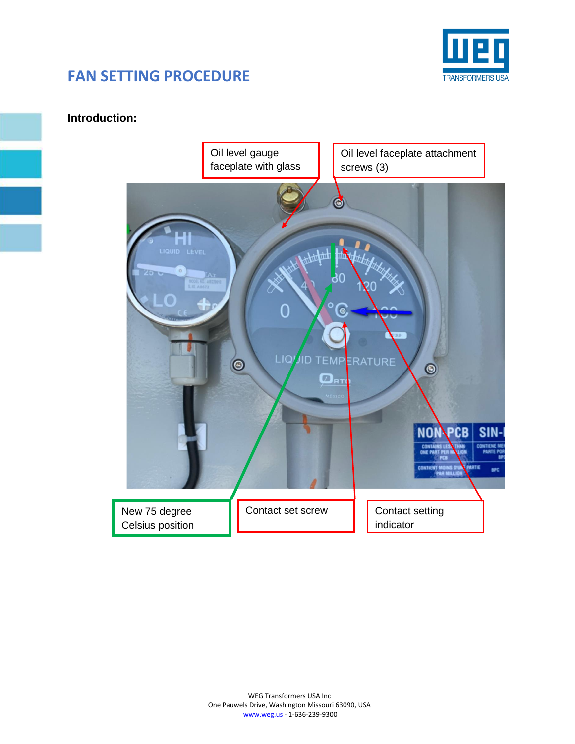

#### **Introduction:**

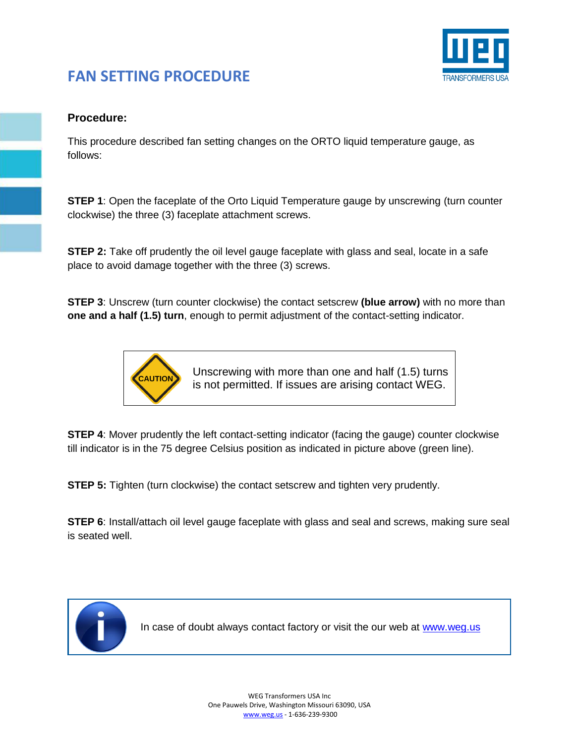

#### **Procedure:**

This procedure described fan setting changes on the ORTO liquid temperature gauge, as follows:

**STEP 1**: Open the faceplate of the Orto Liquid Temperature gauge by unscrewing (turn counter clockwise) the three (3) faceplate attachment screws.

**STEP 2:** Take off prudently the oil level gauge faceplate with glass and seal, locate in a safe place to avoid damage together with the three (3) screws.

**STEP 3**: Unscrew (turn counter clockwise) the contact setscrew **(blue arrow)** with no more than **one and a half (1.5) turn**, enough to permit adjustment of the contact-setting indicator.



Unscrewing with more than one and half (1.5) turns is not permitted. If issues are arising contact WEG.

**STEP 4**: Mover prudently the left contact-setting indicator (facing the gauge) counter clockwise till indicator is in the 75 degree Celsius position as indicated in picture above (green line).

**STEP 5:** Tighten (turn clockwise) the contact setscrew and tighten very prudently.

**STEP 6:** Install/attach oil level gauge faceplate with glass and seal and screws, making sure seal is seated well.



In case of doubt always contact factory or visit the our web at [www.weg.us](http://www.weg.us/)